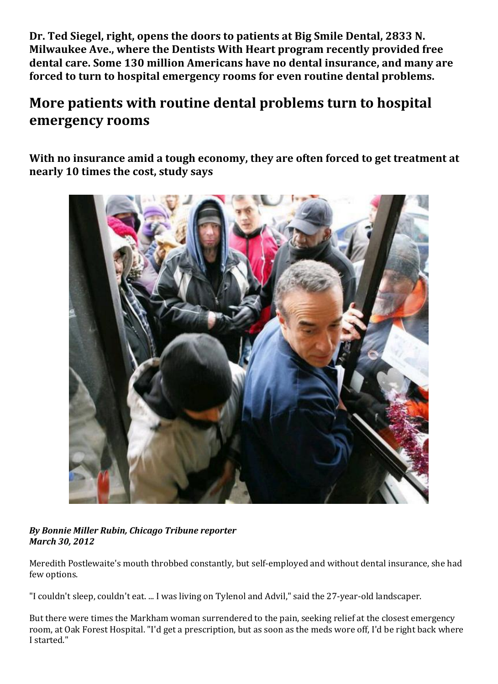**Dr. Ted Siegel, right, opens the doors to patients at Big Smile Dental, 2833 N. Milwaukee Ave., where the Dentists With Heart program recently provided free dental care. Some 130 million Americans have no dental insurance, and many are forced to turn to hospital emergency rooms for even routine dental problems.**

## **More patients with routine dental problems turn to hospital emergency rooms**

**With no insurance amid a tough economy, they are often forced to get treatment at nearly 10 times the cost, study says** 



## *By Bonnie Miller Rubin, Chicago Tribune reporter March 30, 2012*

Meredith Postlewaite's mouth throbbed constantly, but self-employed and without dental insurance, she had few options.

"I couldn't sleep, couldn't eat. ... I was living on Tylenol and Advil," said the 27-year-old landscaper.

But there were times the Markham woman surrendered to the pain, seeking relief at the closest emergency room, at Oak Forest Hospital. "I'd get a prescription, but as soon as the meds wore off, I'd be right back where I started."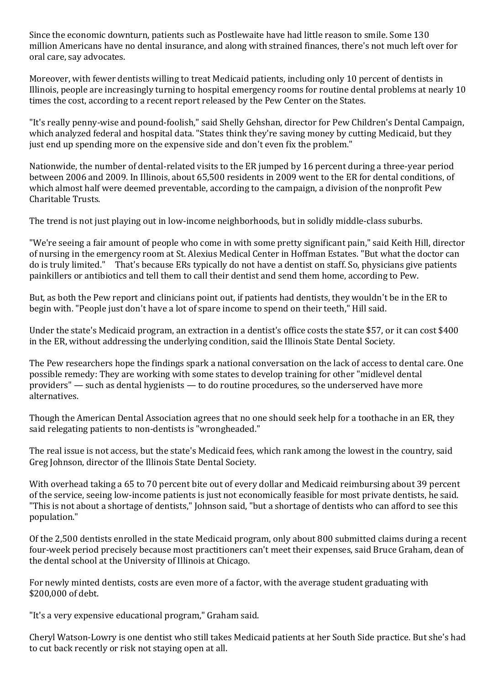Since the economic downturn, patients such as Postlewaite have had little reason to smile. Some 130 million Americans have no dental insurance, and along with strained finances, there's not much left over for oral care, say advocates.

Moreover, with fewer dentists willing to treat Medicaid patients, including only 10 percent of dentists in Illinois, people are increasingly turning to hospital emergency rooms for routine dental problems at nearly 10 times the cost, according to a recent report released by the Pew Center on the States.

"It's really penny-wise and pound-foolish," said Shelly Gehshan, director for Pew Children's Dental Campaign, which analyzed federal and hospital data. "States think they're saving money by cutting Medicaid, but they just end up spending more on the expensive side and don't even fix the problem."

Nationwide, the number of dental-related visits to the ER jumped by 16 percent during a three-year period between 2006 and 2009. In Illinois, about 65,500 residents in 2009 went to the ER for dental conditions, of which almost half were deemed preventable, according to the campaign, a division of the nonprofit Pew Charitable Trusts.

The trend is not just playing out in low-income neighborhoods, but in solidly middle-class suburbs.

"We're seeing a fair amount of people who come in with some pretty significant pain," said Keith Hill, director of nursing in the emergency room at St. Alexius Medical Center in Hoffman Estates. "But what the doctor can do is truly limited." That's because ERs typically do not have a dentist on staff. So, physicians give patients painkillers or antibiotics and tell them to call their dentist and send them home, according to Pew.

But, as both the Pew report and clinicians point out, if patients had dentists, they wouldn't be in the ER to begin with. "People just don't have a lot of spare income to spend on their teeth," Hill said.

Under the state's Medicaid program, an extraction in a dentist's office costs the state \$57, or it can cost \$400 in the ER, without addressing the underlying condition, said the Illinois State Dental Society.

The Pew researchers hope the findings spark a national conversation on the lack of access to dental care. One possible remedy: They are working with some states to develop training for other "midlevel dental providers" — such as dental hygienists — to do routine procedures, so the underserved have more alternatives.

Though the American Dental Association agrees that no one should seek help for a toothache in an ER, they said relegating patients to non-dentists is "wrongheaded."

The real issue is not access, but the state's Medicaid fees, which rank among the lowest in the country, said Greg Johnson, director of the Illinois State Dental Society.

With overhead taking a 65 to 70 percent bite out of every dollar and Medicaid reimbursing about 39 percent of the service, seeing low-income patients is just not economically feasible for most private dentists, he said. "This is not about a shortage of dentists," Johnson said, "but a shortage of dentists who can afford to see this population."

Of the 2,500 dentists enrolled in the state Medicaid program, only about 800 submitted claims during a recent four-week period precisely because most practitioners can't meet their expenses, said Bruce Graham, dean of the dental school at the University of Illinois at Chicago.

For newly minted dentists, costs are even more of a factor, with the average student graduating with \$200,000 of debt.

"It's a very expensive educational program," Graham said.

Cheryl Watson-Lowry is one dentist who still takes Medicaid patients at her South Side practice. But she's had to cut back recently or risk not staying open at all.